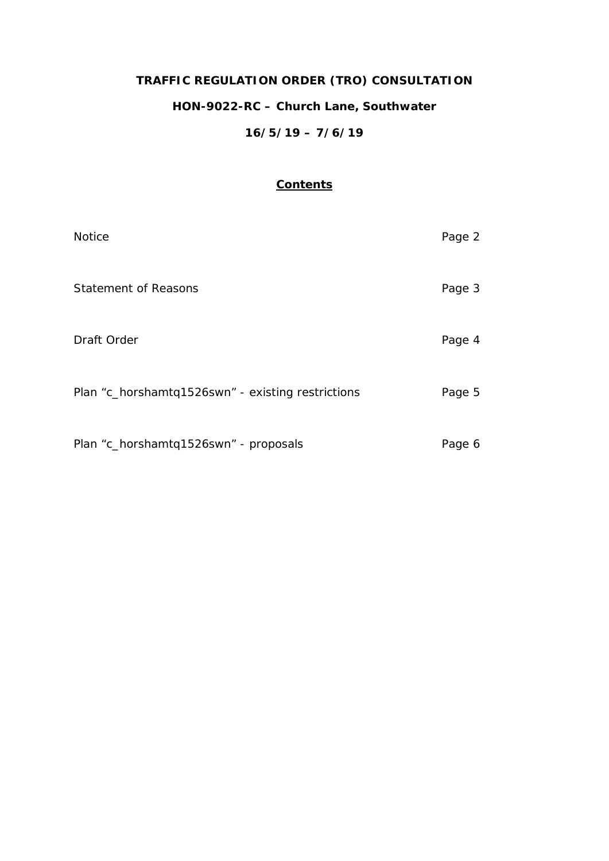# **TRAFFIC REGULATION ORDER (TRO) CONSULTATION HON-9022-RC – Church Lane, Southwater 16/5/19 – 7/6/19**

# **Contents**

| <b>Notice</b>                                     | Page 2 |
|---------------------------------------------------|--------|
| <b>Statement of Reasons</b>                       | Page 3 |
| Draft Order                                       | Page 4 |
| Plan "c_horshamtq1526swn" - existing restrictions | Page 5 |
| Plan "c_horshamtq1526swn" - proposals             | Page 6 |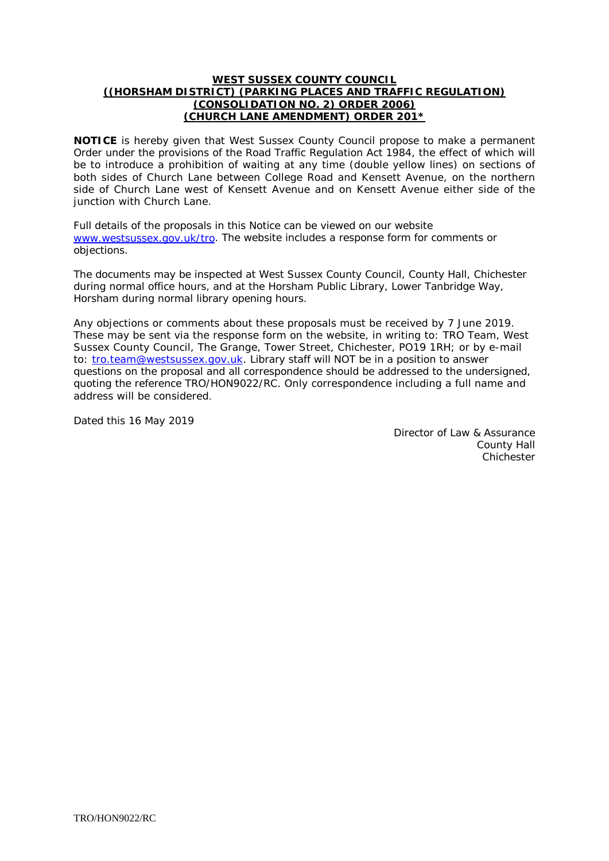#### **WEST SUSSEX COUNTY COUNCIL ((HORSHAM DISTRICT) (PARKING PLACES AND TRAFFIC REGULATION) (CONSOLIDATION NO. 2) ORDER 2006) (CHURCH LANE AMENDMENT) ORDER 201\***

**NOTICE** is hereby given that West Sussex County Council propose to make a permanent Order under the provisions of the Road Traffic Regulation Act 1984, the effect of which will be to introduce a prohibition of waiting at any time (double yellow lines) on sections of both sides of Church Lane between College Road and Kensett Avenue, on the northern side of Church Lane west of Kensett Avenue and on Kensett Avenue either side of the junction with Church Lane.

Full details of the proposals in this Notice can be viewed on our website [www.westsussex.gov.uk/tro.](http://www.westsussex.gov.uk/tro) The website includes a response form for comments or objections.

The documents may be inspected at West Sussex County Council, County Hall, Chichester during normal office hours, and at the Horsham Public Library, Lower Tanbridge Way, Horsham during normal library opening hours.

Any objections or comments about these proposals must be received by 7 June 2019. These may be sent via the response form on the website, in writing to: TRO Team, West Sussex County Council, The Grange, Tower Street, Chichester, PO19 1RH; or by e-mail to: [tro.team@westsussex.gov.uk.](mailto:tro.team@westsussex.gov.uk) Library staff will NOT be in a position to answer questions on the proposal and all correspondence should be addressed to the undersigned, quoting the reference TRO/HON9022/RC. Only correspondence including a full name and address will be considered.

Dated this 16 May 2019

Director of Law & Assurance County Hall Chichester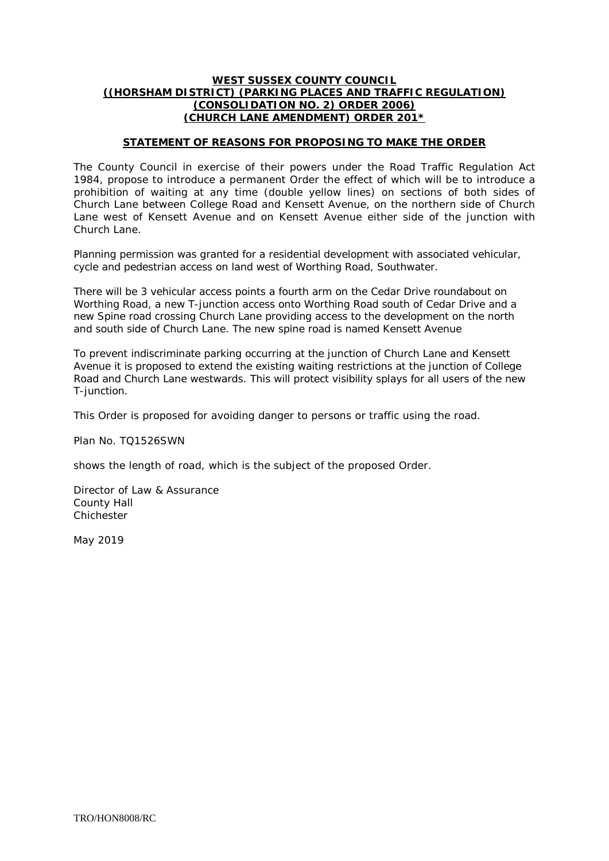#### **WEST SUSSEX COUNTY COUNCIL ((HORSHAM DISTRICT) (PARKING PLACES AND TRAFFIC REGULATION) (CONSOLIDATION NO. 2) ORDER 2006) (CHURCH LANE AMENDMENT) ORDER 201\***

# **STATEMENT OF REASONS FOR PROPOSING TO MAKE THE ORDER**

The County Council in exercise of their powers under the Road Traffic Regulation Act 1984, propose to introduce a permanent Order the effect of which will be to introduce a prohibition of waiting at any time (double yellow lines) on sections of both sides of Church Lane between College Road and Kensett Avenue, on the northern side of Church Lane west of Kensett Avenue and on Kensett Avenue either side of the junction with Church Lane.

Planning permission was granted for a residential development with associated vehicular, cycle and pedestrian access on land west of Worthing Road, Southwater.

There will be 3 vehicular access points a fourth arm on the Cedar Drive roundabout on Worthing Road, a new T-junction access onto Worthing Road south of Cedar Drive and a new Spine road crossing Church Lane providing access to the development on the north and south side of Church Lane. The new spine road is named Kensett Avenue

To prevent indiscriminate parking occurring at the junction of Church Lane and Kensett Avenue it is proposed to extend the existing waiting restrictions at the junction of College Road and Church Lane westwards. This will protect visibility splays for all users of the new T-junction.

This Order is proposed for avoiding danger to persons or traffic using the road.

Plan No. TQ1526SWN

shows the length of road, which is the subject of the proposed Order.

Director of Law & Assurance County Hall Chichester

May 2019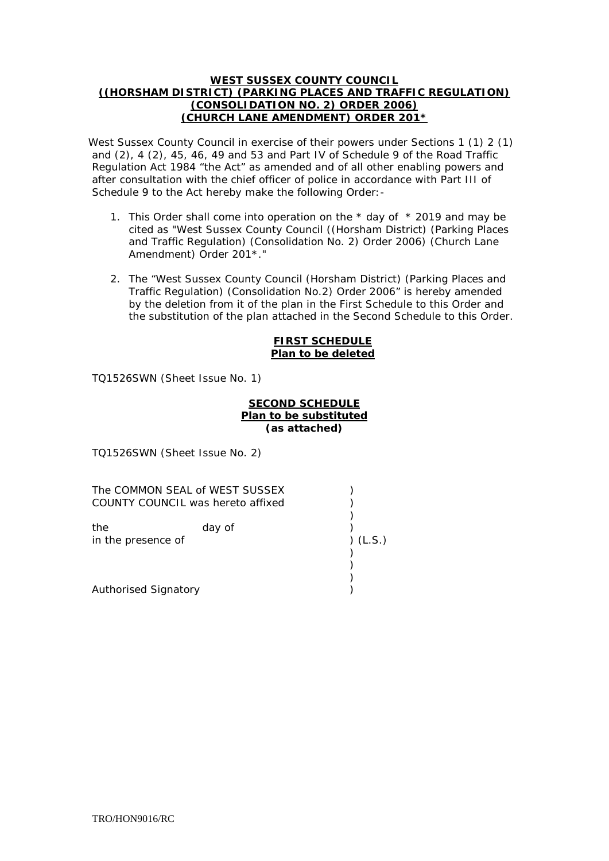#### **WEST SUSSEX COUNTY COUNCIL ((HORSHAM DISTRICT) (PARKING PLACES AND TRAFFIC REGULATION) (CONSOLIDATION NO. 2) ORDER 2006) (CHURCH LANE AMENDMENT) ORDER 201\***

West Sussex County Council in exercise of their powers under Sections 1 (1) 2 (1) and (2), 4 (2), 45, 46, 49 and 53 and Part IV of Schedule 9 of the Road Traffic Regulation Act 1984 "the Act" as amended and of all other enabling powers and after consultation with the chief officer of police in accordance with Part III of Schedule 9 to the Act hereby make the following Order:-

- 1. This Order shall come into operation on the  $*$  day of  $*$  2019 and may be cited as "West Sussex County Council ((Horsham District) (Parking Places and Traffic Regulation) (Consolidation No. 2) Order 2006) (Church Lane Amendment) Order 201\*."
- 2. The "West Sussex County Council (Horsham District) (Parking Places and Traffic Regulation) (Consolidation No.2) Order 2006" is hereby amended by the deletion from it of the plan in the First Schedule to this Order and the substitution of the plan attached in the Second Schedule to this Order.

### **FIRST SCHEDULE Plan to be deleted**

TQ1526SWN (Sheet Issue No. 1)

# **SECOND SCHEDULE Plan to be substituted (as attached)**

TQ1526SWN (Sheet Issue No. 2)

The COMMON SEAL of WEST SUSSEX (2004) COUNTY COUNCIL was hereto affixed ) ) the day of ) in the presence of ) (L.S.) ) ) ) Authorised Signatory (and the state of the state of the state of the state of the state of the state of the state of the state of the state of the state of the state of the state of the state of the state of the state of t

TRO/HON9016/RC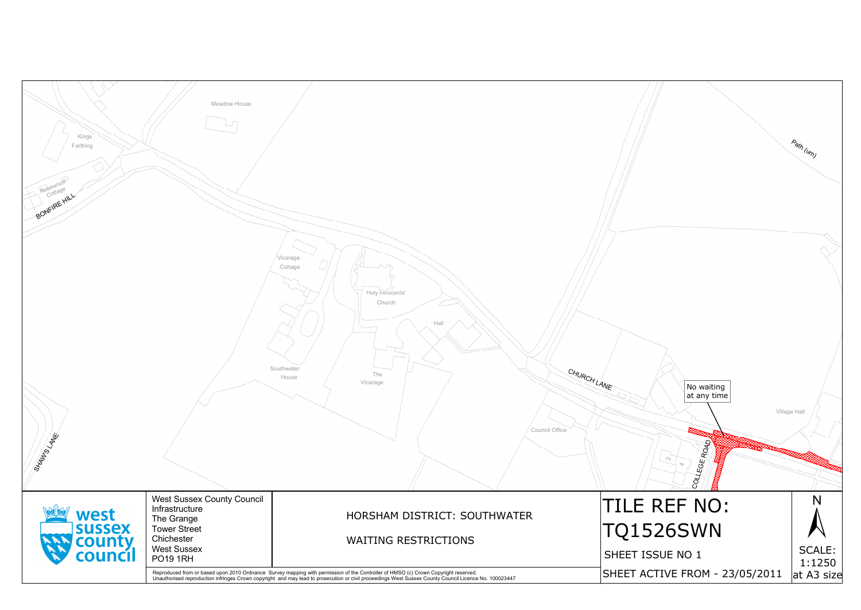| Kings<br>Farthing<br>Rosewood<br>Cottage<br>BONFIRE HILL | Meadow House                                                                                                                 |                                                                                                                                                                                                                                   |                                    |
|----------------------------------------------------------|------------------------------------------------------------------------------------------------------------------------------|-----------------------------------------------------------------------------------------------------------------------------------------------------------------------------------------------------------------------------------|------------------------------------|
| <b>SXXMps</b> LANE                                       |                                                                                                                              | Vicarage<br>run<br>Cottage<br>Holy Innocents'<br>Church<br>Hall<br>Southwater<br>CHURCH LANE<br>The<br>House<br>Vicarage<br>Council Office                                                                                        |                                    |
| west<br>sussex<br>county                                 | <b>West Sussex County Council</b><br>Infrastructure<br>The Grange<br><b>Tower Street</b><br>Chichester<br><b>West Sussex</b> | HORSHAM DISTRICT: SOUTHWATER<br><b>WAITING RESTRICTIONS</b>                                                                                                                                                                       | TILE<br>TQ15                       |
| council                                                  | <b>PO19 1RH</b>                                                                                                              | Reproduced from or based upon 2010 Ordnance Survey mapping with permission of the Controller of HMSO (c) Crown Copyright reserved.<br>Unauthorised reproduction infringes Crown copyright and may lead to prosecution or civil pr | <b>SHEET IS</b><br><b>SHEET AC</b> |